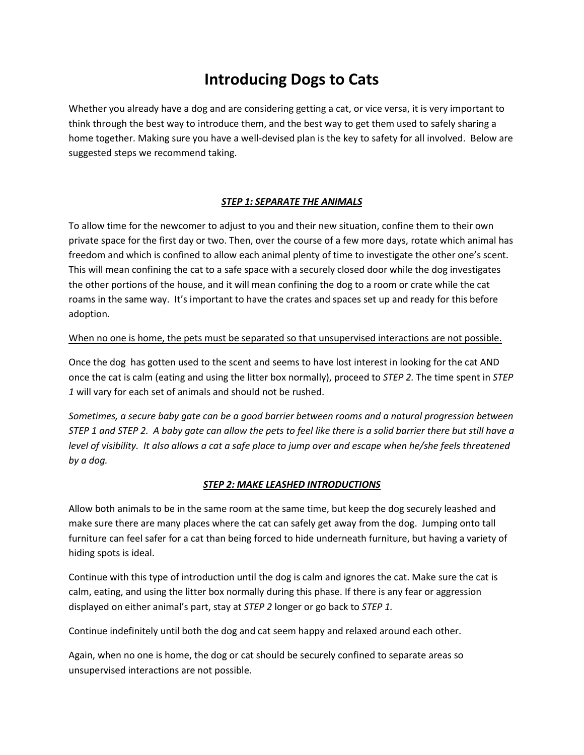# **Introducing Dogs to Cats**

Whether you already have a dog and are considering getting a cat, or vice versa, it is very important to think through the best way to introduce them, and the best way to get them used to safely sharing a home together. Making sure you have a well-devised plan is the key to safety for all involved. Below are suggested steps we recommend taking.

## *STEP 1: SEPARATE THE ANIMALS*

To allow time for the newcomer to adjust to you and their new situation, confine them to their own private space for the first day or two. Then, over the course of a few more days, rotate which animal has freedom and which is confined to allow each animal plenty of time to investigate the other one's scent. This will mean confining the cat to a safe space with a securely closed door while the dog investigates the other portions of the house, and it will mean confining the dog to a room or crate while the cat roams in the same way. It's important to have the crates and spaces set up and ready for this before adoption.

#### When no one is home, the pets must be separated so that unsupervised interactions are not possible.

Once the dog has gotten used to the scent and seems to have lost interest in looking for the cat AND once the cat is calm (eating and using the litter box normally), proceed to *STEP 2.* The time spent in *STEP 1* will vary for each set of animals and should not be rushed.

*Sometimes, a secure baby gate can be a good barrier between rooms and a natural progression between STEP 1 and STEP 2. A baby gate can allow the pets to feel like there is a solid barrier there but still have a level of visibility. It also allows a cat a safe place to jump over and escape when he/she feels threatened by a dog.* 

#### *STEP 2: MAKE LEASHED INTRODUCTIONS*

Allow both animals to be in the same room at the same time, but keep the dog securely leashed and make sure there are many places where the cat can safely get away from the dog. Jumping onto tall furniture can feel safer for a cat than being forced to hide underneath furniture, but having a variety of hiding spots is ideal.

Continue with this type of introduction until the dog is calm and ignores the cat. Make sure the cat is calm, eating, and using the litter box normally during this phase. If there is any fear or aggression displayed on either animal's part, stay at *STEP 2* longer or go back to *STEP 1.*

Continue indefinitely until both the dog and cat seem happy and relaxed around each other.

Again, when no one is home, the dog or cat should be securely confined to separate areas so unsupervised interactions are not possible.